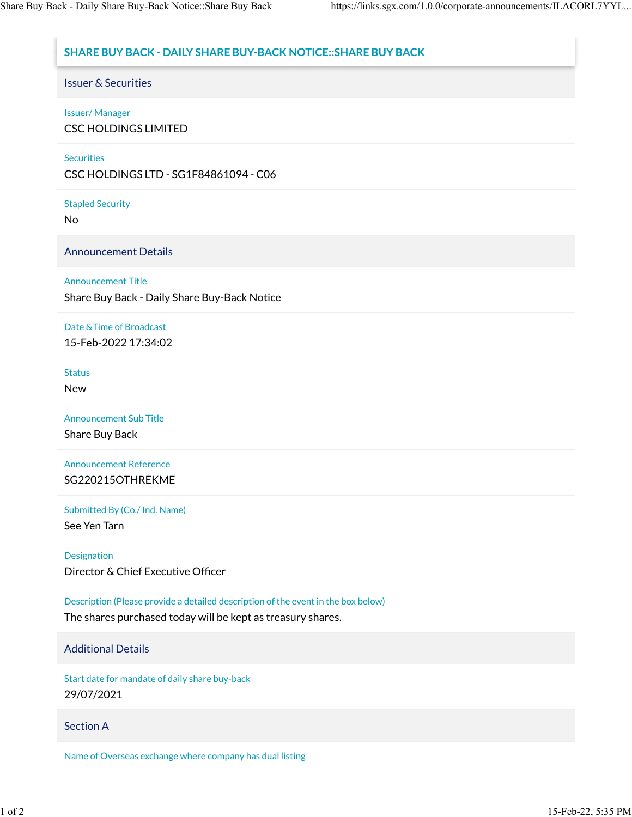# **SHARE BUY BACK - DAILY SHARE BUY-BACK NOTICE::SHARE BUY BACK**

Issuer & Securities

## Issuer/ Manager

CSC HOLDINGS LIMITED

#### **Securities**

CSC HOLDINGS LTD - SG1F84861094 - C06

Stapled Security

No

Announcement Details

## Announcement Title

Share Buy Back - Daily Share Buy-Back Notice

## Date &Time of Broadcast 15-Feb-2022 17:34:02

**Status** 

New

Announcement Sub Title

Share Buy Back

Announcement Reference SG220215OTHREKME

Submitted By (Co./ Ind. Name)

See Yen Tarn

Designation

Director & Chief Executive Officer

Description (Please provide a detailed description of the event in the box below)

The shares purchased today will be kept as treasury shares.

## Additional Details

Start date for mandate of daily share buy-back 29/07/2021

#### Section A

Name of Overseas exchange where company has dual listing